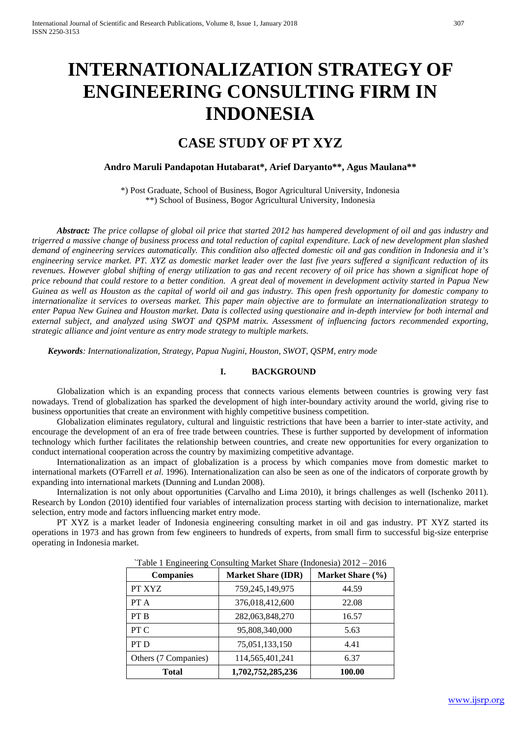# **INTERNATIONALIZATION STRATEGY OF ENGINEERING CONSULTING FIRM IN INDONESIA**

# **CASE STUDY OF PT XYZ**

# **Andro Maruli Pandapotan Hutabarat\*, Arief Daryanto\*\*, Agus Maulana\*\***

\*) Post Graduate, School of Business, Bogor Agricultural University, Indonesia \*\*) School of Business, Bogor Agricultural University, Indonesia

*Abstract: The price collapse of global oil price that started 2012 has hampered development of oil and gas industry and trigerred a massive change of business process and total reduction of capital expenditure. Lack of new development plan slashed demand of engineering services automatically. This condition also affected domestic oil and gas condition in Indonesia and it's engineering service market. PT. XYZ as domestic market leader over the last five years suffered a significant reduction of its revenues. However global shifting of energy utilization to gas and recent recovery of oil price has shown a significat hope of price rebound that could restore to a better condition. A great deal of movement in development activity started in Papua New Guinea as well as Houston as the capital of world oil and gas industry. This open fresh opportunity for domestic company to internationalize it services to overseas market. This paper main objective are to formulate an internationalization strategy to enter Papua New Guinea and Houston market. Data is collected using questionaire and in-depth interview for both internal and external subject, and analyzed using SWOT and QSPM matrix. Assessment of influencing factors recommended exporting, strategic alliance and joint venture as entry mode strategy to multiple markets.*

*Keywords: Internationalization, Strategy, Papua Nugini, Houston, SWOT, QSPM, entry mode*

#### **I. BACKGROUND**

Globalization which is an expanding process that connects various elements between countries is growing very fast nowadays. Trend of globalization has sparked the development of high inter-boundary activity around the world, giving rise to business opportunities that create an environment with highly competitive business competition.

Globalization eliminates regulatory, cultural and linguistic restrictions that have been a barrier to inter-state activity, and encourage the development of an era of free trade between countries. These is further supported by development of information technology which further facilitates the relationship between countries, and create new opportunities for every organization to conduct international cooperation across the country by maximizing competitive advantage.

Internationalization as an impact of globalization is a process by which companies move from domestic market to international markets (O'Farrell *et al*. 1996). Internationalization can also be seen as one of the indicators of corporate growth by expanding into international markets (Dunning and Lundan 2008).

Internalization is not only about opportunities (Carvalho and Lima 2010), it brings challenges as well (Ischenko 2011). Research by London (2010) identified four variables of internalization process starting with decision to internationalize, market selection, entry mode and factors influencing market entry mode.

PT XYZ is a market leader of Indonesia engineering consulting market in oil and gas industry. PT XYZ started its operations in 1973 and has grown from few engineers to hundreds of experts, from small firm to successful big-size enterprise operating in Indonesia market.

| <b>Companies</b>     | <b>Market Share (IDR)</b> | Market Share (%) |  |  |
|----------------------|---------------------------|------------------|--|--|
| PT XYZ               | 759,245,149,975           | 44.59            |  |  |
| PT A                 | 376,018,412,600           | 22.08            |  |  |
| PT B                 | 282,063,848,270           | 16.57            |  |  |
| PT C                 | 95,808,340,000            | 5.63             |  |  |
| PT D                 | 75,051,133,150            | 4.41             |  |  |
| Others (7 Companies) | 114,565,401,241           | 6.37             |  |  |
| Total                | 1,702,752,285,236         | 100.00           |  |  |

`Table 1 Engineering Consulting Market Share (Indonesia) 2012 – 2016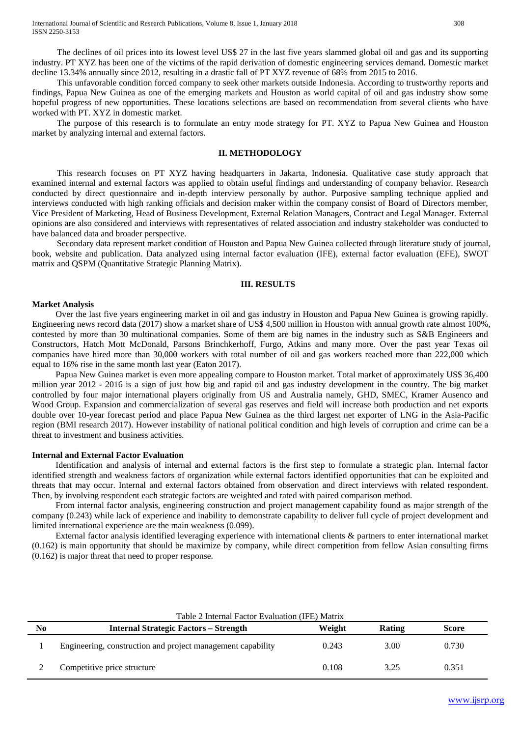International Journal of Scientific and Research Publications, Volume 8, Issue 1, January 2018 308 ISSN 2250-3153

The declines of oil prices into its lowest level US\$ 27 in the last five years slammed global oil and gas and its supporting industry. PT XYZ has been one of the victims of the rapid derivation of domestic engineering services demand. Domestic market decline 13.34% annually since 2012, resulting in a drastic fall of PT XYZ revenue of 68% from 2015 to 2016.

This unfavorable condition forced company to seek other markets outside Indonesia. According to trustworthy reports and findings, Papua New Guinea as one of the emerging markets and Houston as world capital of oil and gas industry show some hopeful progress of new opportunities. These locations selections are based on recommendation from several clients who have worked with PT. XYZ in domestic market.

The purpose of this research is to formulate an entry mode strategy for PT. XYZ to Papua New Guinea and Houston market by analyzing internal and external factors.

### **II. METHODOLOGY**

This research focuses on PT XYZ having headquarters in Jakarta, Indonesia. Qualitative case study approach that examined internal and external factors was applied to obtain useful findings and understanding of company behavior. Research conducted by direct questionnaire and in-depth interview personally by author. Purposive sampling technique applied and interviews conducted with high ranking officials and decision maker within the company consist of Board of Directors member, Vice President of Marketing, Head of Business Development, External Relation Managers, Contract and Legal Manager. External opinions are also considered and interviews with representatives of related association and industry stakeholder was conducted to have balanced data and broader perspective.

Secondary data represent market condition of Houston and Papua New Guinea collected through literature study of journal, book, website and publication. Data analyzed using internal factor evaluation (IFE), external factor evaluation (EFE), SWOT matrix and QSPM (Quantitative Strategic Planning Matrix).

#### **III. RESULTS**

#### **Market Analysis**

Over the last five years engineering market in oil and gas industry in Houston and Papua New Guinea is growing rapidly. Engineering news record data (2017) show a market share of US\$ 4,500 million in Houston with annual growth rate almost 100%, contested by more than 30 multinational companies. Some of them are big names in the industry such as S&B Engineers and Constructors, Hatch Mott McDonald, Parsons Brinchkerhoff, Furgo, Atkins and many more. Over the past year Texas oil companies have hired more than 30,000 workers with total number of oil and gas workers reached more than 222,000 which equal to 16% rise in the same month last year (Eaton 2017).

Papua New Guinea market is even more appealing compare to Houston market. Total market of approximately US\$ 36,400 million year 2012 - 2016 is a sign of just how big and rapid oil and gas industry development in the country. The big market controlled by four major international players originally from US and Australia namely, GHD, SMEC, Kramer Ausenco and Wood Group. Expansion and commercialization of several gas reserves and field will increase both production and net exports double over 10-year forecast period and place Papua New Guinea as the third largest net exporter of LNG in the Asia-Pacific region (BMI research 2017). However instability of national political condition and high levels of corruption and crime can be a threat to investment and business activities.

### **Internal and External Factor Evaluation**

Identification and analysis of internal and external factors is the first step to formulate a strategic plan. Internal factor identified strength and weakness factors of organization while external factors identified opportunities that can be exploited and threats that may occur. Internal and external factors obtained from observation and direct interviews with related respondent. Then, by involving respondent each strategic factors are weighted and rated with paired comparison method.

From internal factor analysis, engineering construction and project management capability found as major strength of the company (0.243) while lack of experience and inability to demonstrate capability to deliver full cycle of project development and limited international experience are the main weakness (0.099).

External factor analysis identified leveraging experience with international clients & partners to enter international market (0.162) is main opportunity that should be maximize by company, while direct competition from fellow Asian consulting firms (0.162) is major threat that need to proper response.

|                | Table 2 Internal Factor Evaluation (IFE) Matrix             |        |        |       |  |  |  |  |  |
|----------------|-------------------------------------------------------------|--------|--------|-------|--|--|--|--|--|
| N <sub>0</sub> | <b>Internal Strategic Factors - Strength</b>                | Weight | Rating | Score |  |  |  |  |  |
|                | Engineering, construction and project management capability | 0.243  | 3.00   | 0.730 |  |  |  |  |  |
|                | Competitive price structure                                 | 0.108  | 3.25   | 0.351 |  |  |  |  |  |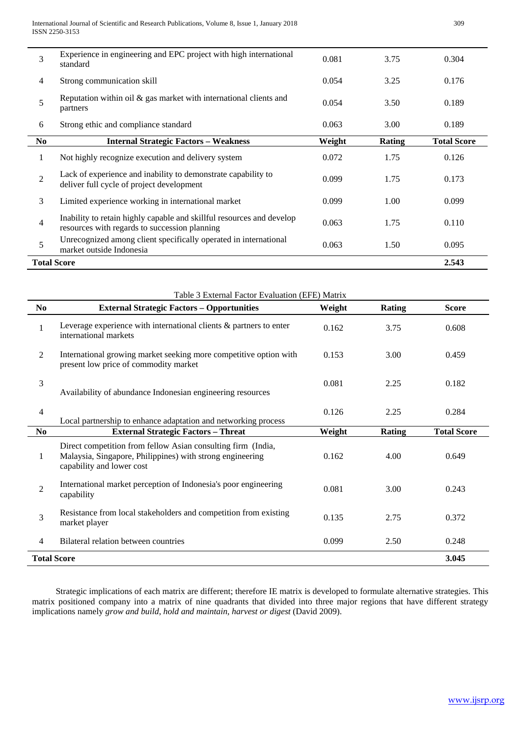| 3              | Experience in engineering and EPC project with high international<br>standard                                          | 0.081  | 3.75          | 0.304              |
|----------------|------------------------------------------------------------------------------------------------------------------------|--------|---------------|--------------------|
| 4              | Strong communication skill                                                                                             | 0.054  | 3.25          | 0.176              |
| 5              | Reputation within oil $\&$ gas market with international clients and<br>partners                                       | 0.054  | 3.50          | 0.189              |
| 6              | Strong ethic and compliance standard                                                                                   | 0.063  | 3.00          | 0.189              |
| N <sub>0</sub> | <b>Internal Strategic Factors - Weakness</b>                                                                           | Weight | <b>Rating</b> | <b>Total Score</b> |
| 1              | Not highly recognize execution and delivery system                                                                     | 0.072  | 1.75          | 0.126              |
| $\overline{2}$ | Lack of experience and inability to demonstrate capability to<br>deliver full cycle of project development             | 0.099  | 1.75          | 0.173              |
| 3              | Limited experience working in international market                                                                     | 0.099  | 1.00          | 0.099              |
| 4              | Inability to retain highly capable and skillful resources and develop<br>resources with regards to succession planning | 0.063  | 1.75          | 0.110              |
| 5              | Unrecognized among client specifically operated in international<br>market outside Indonesia                           | 1.50   | 0.095         |                    |
|                | <b>Total Score</b>                                                                                                     |        |               | 2.543              |

|                             | Table 3 External Factor Evaluation (EFE) Matrix                                                                                                        |        |               |                    |  |  |  |  |
|-----------------------------|--------------------------------------------------------------------------------------------------------------------------------------------------------|--------|---------------|--------------------|--|--|--|--|
| No                          | <b>External Strategic Factors - Opportunities</b>                                                                                                      | Weight | <b>Rating</b> | <b>Score</b>       |  |  |  |  |
| $\mathbf{1}$                | Leverage experience with international clients $\&$ partners to enter<br>international markets                                                         | 0.162  | 3.75          | 0.608              |  |  |  |  |
| $\mathfrak{2}$              | International growing market seeking more competitive option with<br>present low price of commodity market                                             | 0.153  | 3.00          | 0.459              |  |  |  |  |
| 3                           | Availability of abundance Indonesian engineering resources                                                                                             | 0.081  | 2.25          | 0.182              |  |  |  |  |
| $\overline{4}$              | Local partnership to enhance adaptation and networking process                                                                                         | 0.126  | 2.25          | 0.284              |  |  |  |  |
| N <sub>0</sub>              | <b>External Strategic Factors - Threat</b>                                                                                                             | Weight | <b>Rating</b> | <b>Total Score</b> |  |  |  |  |
| $\mathbf{1}$                | Direct competition from fellow Asian consulting firm (India,<br>Malaysia, Singapore, Philippines) with strong engineering<br>capability and lower cost | 0.162  | 4.00          | 0.649              |  |  |  |  |
| $\mathfrak{2}$              | International market perception of Indonesia's poor engineering<br>capability                                                                          | 0.081  | 3.00          | 0.243              |  |  |  |  |
| 3                           | Resistance from local stakeholders and competition from existing<br>market player                                                                      | 0.135  | 2.75          | 0.372              |  |  |  |  |
| $\overline{4}$              | Bilateral relation between countries                                                                                                                   | 0.099  | 2.50          | 0.248              |  |  |  |  |
| <b>Total Score</b><br>3.045 |                                                                                                                                                        |        |               |                    |  |  |  |  |

Strategic implications of each matrix are different; therefore IE matrix is developed to formulate alternative strategies. This matrix positioned company into a matrix of nine quadrants that divided into three major regions that have different strategy implications namely *grow and build*, *hold and maintain, harvest or digest* (David 2009).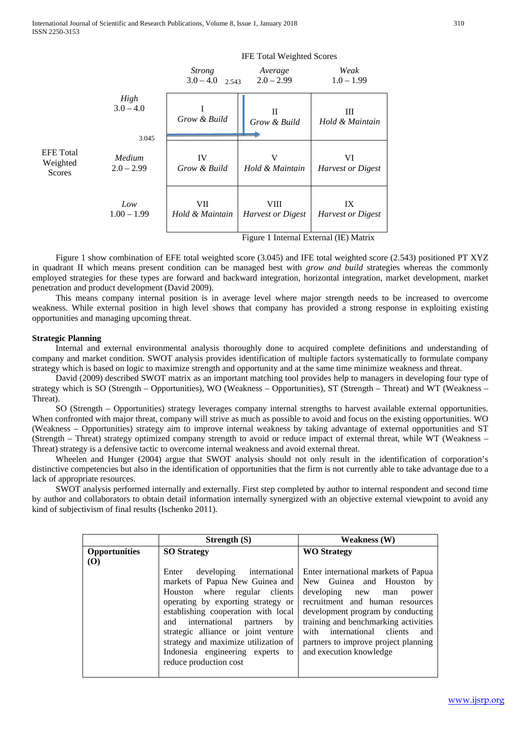

Figure 1 show combination of EFE total weighted score (3.045) and IFE total weighted score (2.543) positioned PT XYZ in quadrant II which means present condition can be managed best with *grow and build* strategies whereas the commonly employed strategies for these types are forward and backward integration, horizontal integration, market development, market penetration and product development (David 2009).

This means company internal position is in average level where major strength needs to be increased to overcome weakness. While external position in high level shows that company has provided a strong response in exploiting existing opportunities and managing upcoming threat.

#### **Strategic Planning**

Internal and external environmental analysis thoroughly done to acquired complete definitions and understanding of company and market condition. SWOT analysis provides identification of multiple factors systematically to formulate company strategy which is based on logic to maximize strength and opportunity and at the same time minimize weakness and threat.

David (2009) described SWOT matrix as an important matching tool provides help to managers in developing four type of strategy which is SO (Strength – Opportunities), WO (Weakness – Opportunities), ST (Strength – Threat) and WT (Weakness – Threat).

SO (Strength – Opportunities) strategy leverages company internal strengths to harvest available external opportunities. When confronted with major threat, company will strive as much as possible to avoid and focus on the existing opportunities. WO (Weakness – Opportunities) strategy aim to improve internal weakness by taking advantage of external opportunities and ST (Strength – Threat) strategy optimized company strength to avoid or reduce impact of external threat, while WT (Weakness – Threat) strategy is a defensive tactic to overcome internal weakness and avoid external threat.

Wheelen and Hunger (2004) argue that SWOT analysis should not only result in the identification of corporation's distinctive competencies but also in the identification of opportunities that the firm is not currently able to take advantage due to a lack of appropriate resources.

SWOT analysis performed internally and externally. First step completed by author to internal respondent and second time by author and collaborators to obtain detail information internally synergized with an objective external viewpoint to avoid any kind of subjectivism of final results (Ischenko 2011).

|                      | Strength $(S)$                         | <b>Weakness</b> (W)                  |  |  |  |
|----------------------|----------------------------------------|--------------------------------------|--|--|--|
| <b>Opportunities</b> | <b>SO Strategy</b>                     | <b>WO</b> Strategy                   |  |  |  |
| <b>(O)</b>           |                                        |                                      |  |  |  |
|                      | developing international<br>Enter      | Enter international markets of Papua |  |  |  |
|                      | markets of Papua New Guinea and        | New Guinea and Houston<br>by         |  |  |  |
|                      | Houston where regular clients          | developing<br>power<br>new<br>man    |  |  |  |
|                      | operating by exporting strategy or     | recruitment and human resources      |  |  |  |
|                      | establishing cooperation with local    | development program by conducting    |  |  |  |
|                      | international<br>by<br>and<br>partners | training and benchmarking activities |  |  |  |
|                      | strategic alliance or joint venture    | with international clients<br>and    |  |  |  |
|                      | strategy and maximize utilization of   | partners to improve project planning |  |  |  |
|                      | Indonesia engineering experts to       | and execution knowledge              |  |  |  |
|                      | reduce production cost                 |                                      |  |  |  |
|                      |                                        |                                      |  |  |  |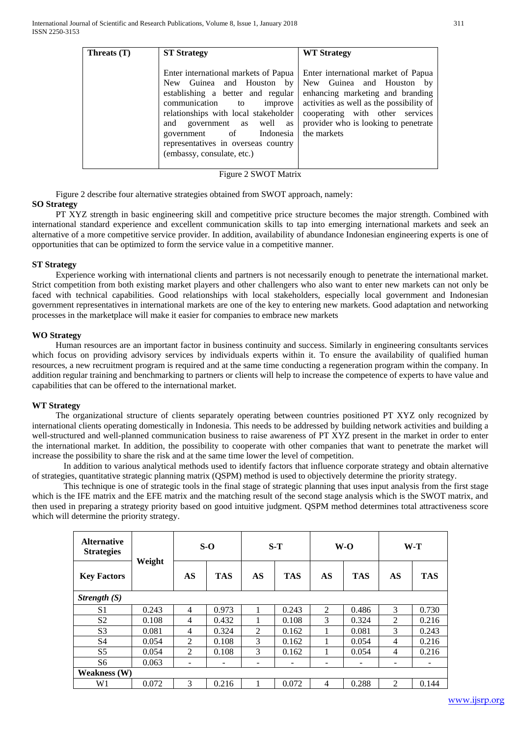| Threats $(T)$ | <b>ST Strategy</b>                                                                                                                                                                                                                                                                                            | <b>WT Strategy</b>                                                                                                                                                                                                                            |
|---------------|---------------------------------------------------------------------------------------------------------------------------------------------------------------------------------------------------------------------------------------------------------------------------------------------------------------|-----------------------------------------------------------------------------------------------------------------------------------------------------------------------------------------------------------------------------------------------|
|               | Enter international markets of Papua<br>New Guinea and Houston by<br>establishing a better and regular<br>communication<br>to<br>improve<br>relationships with local stakeholder<br>and government as well as<br>government of Indonesia<br>representatives in overseas country<br>(embassy, consulate, etc.) | Enter international market of Papua<br>New Guinea and Houston by<br>enhancing marketing and branding<br>activities as well as the possibility of<br>cooperating with other<br>services<br>provider who is looking to penetrate<br>the markets |

Figure 2 SWOT Matrix

Figure 2 describe four alternative strategies obtained from SWOT approach, namely:

### **SO Strategy**

PT XYZ strength in basic engineering skill and competitive price structure becomes the major strength. Combined with international standard experience and excellent communication skills to tap into emerging international markets and seek an alternative of a more competitive service provider. In addition, availability of abundance Indonesian engineering experts is one of opportunities that can be optimized to form the service value in a competitive manner.

### **ST Strategy**

Experience working with international clients and partners is not necessarily enough to penetrate the international market. Strict competition from both existing market players and other challengers who also want to enter new markets can not only be faced with technical capabilities. Good relationships with local stakeholders, especially local government and Indonesian government representatives in international markets are one of the key to entering new markets. Good adaptation and networking processes in the marketplace will make it easier for companies to embrace new markets

#### **WO Strategy**

Human resources are an important factor in business continuity and success. Similarly in engineering consultants services which focus on providing advisory services by individuals experts within it. To ensure the availability of qualified human resources, a new recruitment program is required and at the same time conducting a regeneration program within the company. In addition regular training and benchmarking to partners or clients will help to increase the competence of experts to have value and capabilities that can be offered to the international market.

### **WT Strategy**

The organizational structure of clients separately operating between countries positioned PT XYZ only recognized by international clients operating domestically in Indonesia. This needs to be addressed by building network activities and building a well-structured and well-planned communication business to raise awareness of PT XYZ present in the market in order to enter the international market. In addition, the possibility to cooperate with other companies that want to penetrate the market will increase the possibility to share the risk and at the same time lower the level of competition.

In addition to various analytical methods used to identify factors that influence corporate strategy and obtain alternative of strategies, quantitative strategic planning matrix (QSPM) method is used to objectively determine the priority strategy.

This technique is one of strategic tools in the final stage of strategic planning that uses input analysis from the first stage which is the IFE matrix and the EFE matrix and the matching result of the second stage analysis which is the SWOT matrix, and then used in preparing a strategy priority based on good intuitive judgment. QSPM method determines total attractiveness score which will determine the priority strategy.

| <b>Alternative</b><br><b>Strategies</b> | Weight |                | $S-O$      |    | $S-T$      |    | $W-O$      |                | $W-T$      |
|-----------------------------------------|--------|----------------|------------|----|------------|----|------------|----------------|------------|
| <b>Key Factors</b>                      |        | AS             | <b>TAS</b> | AS | <b>TAS</b> | AS | <b>TAS</b> | AS             | <b>TAS</b> |
| Strength $(S)$                          |        |                |            |    |            |    |            |                |            |
| S <sub>1</sub>                          | 0.243  | 4              | 0.973      |    | 0.243      | 2  | 0.486      | 3              | 0.730      |
| S <sub>2</sub>                          | 0.108  | 4              | 0.432      |    | 0.108      | 3  | 0.324      | $\overline{2}$ | 0.216      |
| S <sub>3</sub>                          | 0.081  | $\overline{4}$ | 0.324      | 2  | 0.162      |    | 0.081      | 3              | 0.243      |
| S <sub>4</sub>                          | 0.054  | $\overline{2}$ | 0.108      | 3  | 0.162      | 1  | 0.054      | 4              | 0.216      |
| S <sub>5</sub>                          | 0.054  | $\overline{2}$ | 0.108      | 3  | 0.162      |    | 0.054      | $\overline{4}$ | 0.216      |
| S6                                      | 0.063  | ۰              | -          | -  | -          | -  | -          | -              | -          |
| <b>Weakness</b> (W)                     |        |                |            |    |            |    |            |                |            |
| W <sub>1</sub>                          | 0.072  | 3              | 0.216      |    | 0.072      | 4  | 0.288      | 2              | 0.144      |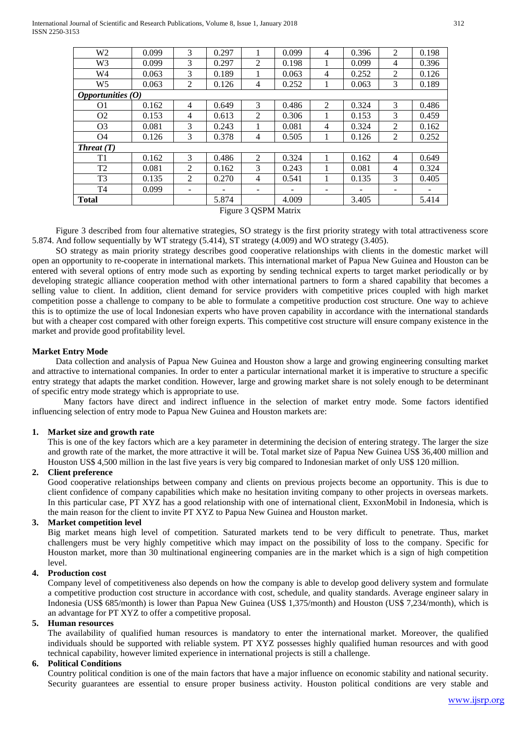International Journal of Scientific and Research Publications, Volume 8, Issue 1, January 2018 312 ISSN 2250-3153

| W <sub>2</sub>      | 0.099 | 3 | 0.297 |                          | 0.099 | 4              | 0.396 | $\overline{2}$ | 0.198 |
|---------------------|-------|---|-------|--------------------------|-------|----------------|-------|----------------|-------|
| W <sub>3</sub>      | 0.099 | 3 | 0.297 | 2                        | 0.198 |                | 0.099 | 4              | 0.396 |
| W <sub>4</sub>      | 0.063 | 3 | 0.189 |                          | 0.063 | 4              | 0.252 | 2              | 0.126 |
| W <sub>5</sub>      | 0.063 | 2 | 0.126 | $\overline{4}$           | 0.252 |                | 0.063 | 3              | 0.189 |
| Opportunities $(0)$ |       |   |       |                          |       |                |       |                |       |
| O1                  | 0.162 | 4 | 0.649 | 3                        | 0.486 | $\overline{2}$ | 0.324 | 3              | 0.486 |
| O <sub>2</sub>      | 0.153 | 4 | 0.613 | 2                        | 0.306 | 1              | 0.153 | 3              | 0.459 |
| O <sub>3</sub>      | 0.081 | 3 | 0.243 |                          | 0.081 | 4              | 0.324 | 2              | 0.162 |
| O <sub>4</sub>      | 0.126 | 3 | 0.378 | 4                        | 0.505 |                | 0.126 | $\overline{2}$ | 0.252 |
| Thread(T)           |       |   |       |                          |       |                |       |                |       |
| T1                  | 0.162 | 3 | 0.486 | 2                        | 0.324 |                | 0.162 | $\overline{4}$ | 0.649 |
| T <sub>2</sub>      | 0.081 | 2 | 0.162 | 3                        | 0.243 |                | 0.081 | 4              | 0.324 |
| T3                  | 0.135 | 2 | 0.270 | 4                        | 0.541 |                | 0.135 | 3              | 0.405 |
| T4                  | 0.099 | ۰ |       | $\overline{\phantom{0}}$ |       | -              |       | ۰              |       |
| <b>Total</b>        |       |   | 5.874 |                          | 4.009 |                | 3.405 |                | 5.414 |
|                     |       |   |       |                          |       |                |       |                |       |

Figure 3 QSPM Matrix

Figure 3 described from four alternative strategies, SO strategy is the first priority strategy with total attractiveness score 5.874. And follow sequentially by WT strategy (5.414), ST strategy (4.009) and WO strategy (3.405).

SO strategy as main priority strategy describes good cooperative relationships with clients in the domestic market will open an opportunity to re-cooperate in international markets. This international market of Papua New Guinea and Houston can be entered with several options of entry mode such as exporting by sending technical experts to target market periodically or by developing strategic alliance cooperation method with other international partners to form a shared capability that becomes a selling value to client. In addition, client demand for service providers with competitive prices coupled with high market competition posse a challenge to company to be able to formulate a competitive production cost structure. One way to achieve this is to optimize the use of local Indonesian experts who have proven capability in accordance with the international standards but with a cheaper cost compared with other foreign experts. This competitive cost structure will ensure company existence in the market and provide good profitability level.

# **Market Entry Mode**

Data collection and analysis of Papua New Guinea and Houston show a large and growing engineering consulting market and attractive to international companies. In order to enter a particular international market it is imperative to structure a specific entry strategy that adapts the market condition. However, large and growing market share is not solely enough to be determinant of specific entry mode strategy which is appropriate to use.

Many factors have direct and indirect influence in the selection of market entry mode. Some factors identified influencing selection of entry mode to Papua New Guinea and Houston markets are:

### **1. Market size and growth rate**

This is one of the key factors which are a key parameter in determining the decision of entering strategy. The larger the size and growth rate of the market, the more attractive it will be. Total market size of Papua New Guinea US\$ 36,400 million and Houston US\$ 4,500 million in the last five years is very big compared to Indonesian market of only US\$ 120 million.

# **2. Client preference**

Good cooperative relationships between company and clients on previous projects become an opportunity. This is due to client confidence of company capabilities which make no hesitation inviting company to other projects in overseas markets. In this particular case, PT XYZ has a good relationship with one of international client, ExxonMobil in Indonesia, which is the main reason for the client to invite PT XYZ to Papua New Guinea and Houston market.

### **3. Market competition level**

Big market means high level of competition. Saturated markets tend to be very difficult to penetrate. Thus, market challengers must be very highly competitive which may impact on the possibility of loss to the company. Specific for Houston market, more than 30 multinational engineering companies are in the market which is a sign of high competition level.

### **4. Production cost**

Company level of competitiveness also depends on how the company is able to develop good delivery system and formulate a competitive production cost structure in accordance with cost, schedule, and quality standards. Average engineer salary in Indonesia (US\$ 685/month) is lower than Papua New Guinea (US\$ 1,375/month) and Houston (US\$ 7,234/month), which is an advantage for PT XYZ to offer a competitive proposal.

### **5. Human resources**

The availability of qualified human resources is mandatory to enter the international market. Moreover, the qualified individuals should be supported with reliable system. PT XYZ possesses highly qualified human resources and with good technical capability, however limited experience in international projects is still a challenge.

### **6. Political Conditions**

Country political condition is one of the main factors that have a major influence on economic stability and national security. Security guarantees are essential to ensure proper business activity. Houston political conditions are very stable and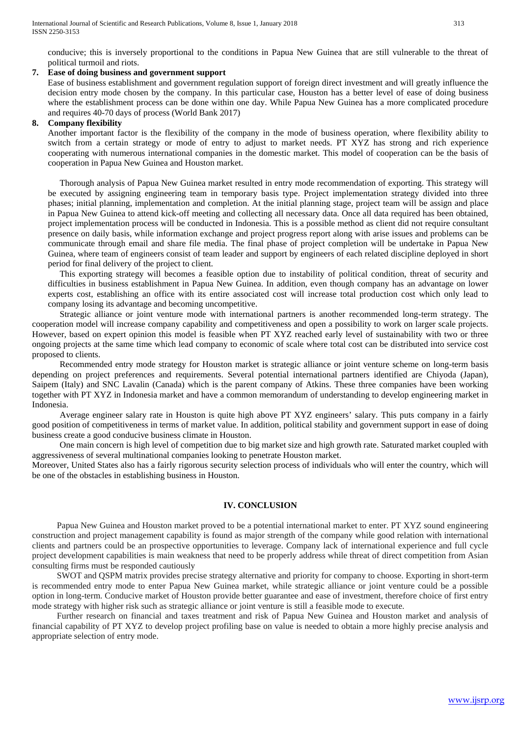conducive; this is inversely proportional to the conditions in Papua New Guinea that are still vulnerable to the threat of political turmoil and riots.

## **7. Ease of doing business and government support**

Ease of business establishment and government regulation support of foreign direct investment and will greatly influence the decision entry mode chosen by the company. In this particular case, Houston has a better level of ease of doing business where the establishment process can be done within one day. While Papua New Guinea has a more complicated procedure and requires 40-70 days of process (World Bank 2017)

#### **8. Company flexibility**

Another important factor is the flexibility of the company in the mode of business operation, where flexibility ability to switch from a certain strategy or mode of entry to adjust to market needs. PT XYZ has strong and rich experience cooperating with numerous international companies in the domestic market. This model of cooperation can be the basis of cooperation in Papua New Guinea and Houston market.

Thorough analysis of Papua New Guinea market resulted in entry mode recommendation of exporting. This strategy will be executed by assigning engineering team in temporary basis type. Project implementation strategy divided into three phases; initial planning, implementation and completion. At the initial planning stage, project team will be assign and place in Papua New Guinea to attend kick-off meeting and collecting all necessary data. Once all data required has been obtained, project implementation process will be conducted in Indonesia. This is a possible method as client did not require consultant presence on daily basis, while information exchange and project progress report along with arise issues and problems can be communicate through email and share file media. The final phase of project completion will be undertake in Papua New Guinea, where team of engineers consist of team leader and support by engineers of each related discipline deployed in short period for final delivery of the project to client.

This exporting strategy will becomes a feasible option due to instability of political condition, threat of security and difficulties in business establishment in Papua New Guinea. In addition, even though company has an advantage on lower experts cost, establishing an office with its entire associated cost will increase total production cost which only lead to company losing its advantage and becoming uncompetitive.

Strategic alliance or joint venture mode with international partners is another recommended long-term strategy. The cooperation model will increase company capability and competitiveness and open a possibility to work on larger scale projects. However, based on expert opinion this model is feasible when PT XYZ reached early level of sustainability with two or three ongoing projects at the same time which lead company to economic of scale where total cost can be distributed into service cost proposed to clients.

Recommended entry mode strategy for Houston market is strategic alliance or joint venture scheme on long-term basis depending on project preferences and requirements. Several potential international partners identified are Chiyoda (Japan), Saipem (Italy) and SNC Lavalin (Canada) which is the parent company of Atkins. These three companies have been working together with PT XYZ in Indonesia market and have a common memorandum of understanding to develop engineering market in Indonesia.

Average engineer salary rate in Houston is quite high above PT XYZ engineers' salary. This puts company in a fairly good position of competitiveness in terms of market value. In addition, political stability and government support in ease of doing business create a good conducive business climate in Houston.

One main concern is high level of competition due to big market size and high growth rate. Saturated market coupled with aggressiveness of several multinational companies looking to penetrate Houston market.

Moreover, United States also has a fairly rigorous security selection process of individuals who will enter the country, which will be one of the obstacles in establishing business in Houston.

### **IV. CONCLUSION**

Papua New Guinea and Houston market proved to be a potential international market to enter. PT XYZ sound engineering construction and project management capability is found as major strength of the company while good relation with international clients and partners could be an prospective opportunities to leverage. Company lack of international experience and full cycle project development capabilities is main weakness that need to be properly address while threat of direct competition from Asian consulting firms must be responded cautiously

SWOT and QSPM matrix provides precise strategy alternative and priority for company to choose. Exporting in short-term is recommended entry mode to enter Papua New Guinea market, while strategic alliance or joint venture could be a possible option in long-term. Conducive market of Houston provide better guarantee and ease of investment, therefore choice of first entry mode strategy with higher risk such as strategic alliance or joint venture is still a feasible mode to execute.

Further research on financial and taxes treatment and risk of Papua New Guinea and Houston market and analysis of financial capability of PT XYZ to develop project profiling base on value is needed to obtain a more highly precise analysis and appropriate selection of entry mode.